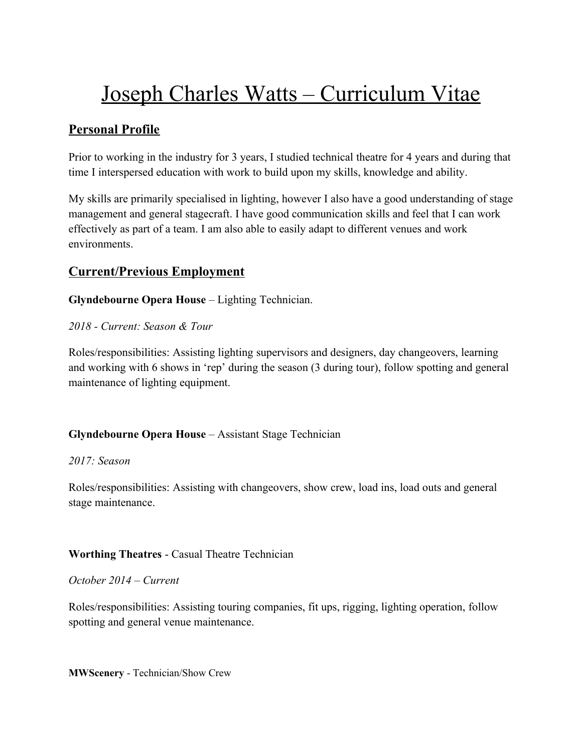# Joseph Charles Watts – Curriculum Vitae

# **Personal Profile**

Prior to working in the industry for 3 years, I studied technical theatre for 4 years and during that time I interspersed education with work to build upon my skills, knowledge and ability.

My skills are primarily specialised in lighting, however I also have a good understanding of stage management and general stagecraft. I have good communication skills and feel that I can work effectively as part of a team. I am also able to easily adapt to different venues and work environments.

## **Current/Previous Employment**

**Glyndebourne Opera House** – Lighting Technician.

*2018 - Current: Season & Tour*

Roles/responsibilities: Assisting lighting supervisors and designers, day changeovers, learning and working with 6 shows in 'rep' during the season (3 during tour), follow spotting and general maintenance of lighting equipment.

## **Glyndebourne Opera House** – Assistant Stage Technician

### *2017: Season*

Roles/responsibilities: Assisting with changeovers, show crew, load ins, load outs and general stage maintenance.

### **Worthing Theatres** - Casual Theatre Technician

### *October 2014 – Current*

Roles/responsibilities: Assisting touring companies, fit ups, rigging, lighting operation, follow spotting and general venue maintenance.

**MWScenery** - Technician/Show Crew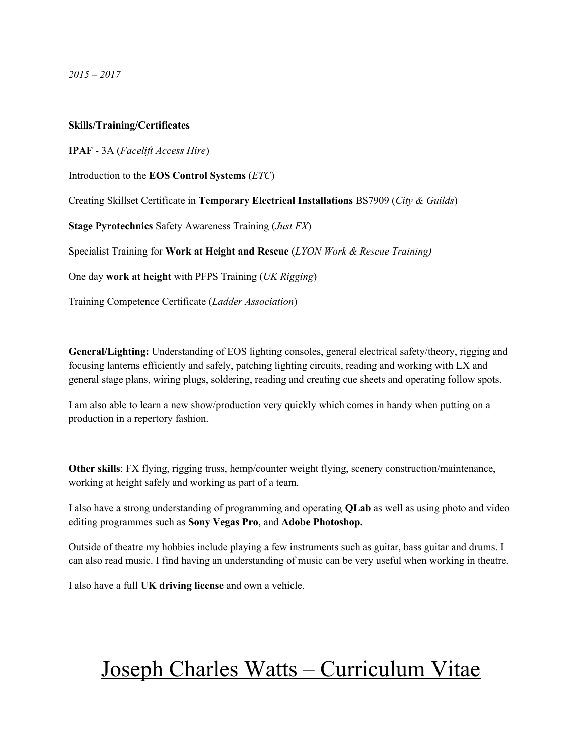*2015 – 2017*

### **Skills/Training/Certificates**

**IPAF** - 3A (*Facelift Access Hire*) Introduction to the **EOS Control Systems** (*ETC*)

Creating Skillset Certificate in **Temporary Electrical Installations** BS7909 (*City & Guilds*)

**Stage Pyrotechnics** Safety Awareness Training (*Just FX*)

Specialist Training for **Work at Height and Rescue** (*LYON Work & Rescue Training)*

One day **work at height** with PFPS Training (*UK Rigging*)

Training Competence Certificate (*Ladder Association*)

**General/Lighting:** Understanding of EOS lighting consoles, general electrical safety/theory, rigging and focusing lanterns efficiently and safely, patching lighting circuits, reading and working with LX and general stage plans, wiring plugs, soldering, reading and creating cue sheets and operating follow spots.

I am also able to learn a new show/production very quickly which comes in handy when putting on a production in a repertory fashion.

**Other skills**: FX flying, rigging truss, hemp/counter weight flying, scenery construction/maintenance, working at height safely and working as part of a team.

I also have a strong understanding of programming and operating **QLab** as well as using photo and video editing programmes such as **Sony Vegas Pro**, and **Adobe Photoshop.**

Outside of theatre my hobbies include playing a few instruments such as guitar, bass guitar and drums. I can also read music. I find having an understanding of music can be very useful when working in theatre.

I also have a full **UK driving license** and own a vehicle.

# Joseph Charles Watts – Curriculum Vitae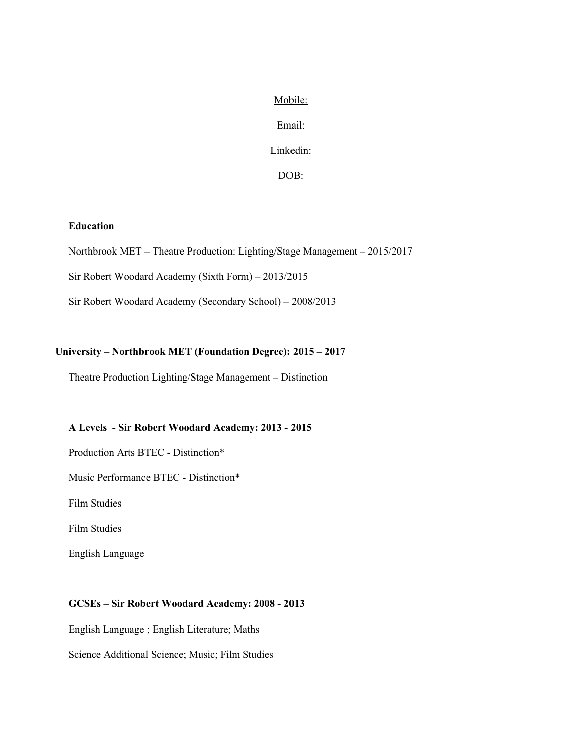Mobile:

Email:

Linkedin:

DOB:

### **Education**

Northbrook MET – Theatre Production: Lighting/Stage Management – 2015/2017

Sir Robert Woodard Academy (Sixth Form) – 2013/2015

Sir Robert Woodard Academy (Secondary School) – 2008/2013

### **University – Northbrook MET (Foundation Degree): 2015 – 2017**

Theatre Production Lighting/Stage Management – Distinction

### **A Levels - Sir Robert Woodard Academy: 2013 - 2015**

Production Arts BTEC - Distinction\*

Music Performance BTEC - Distinction\*

Film Studies

Film Studies

English Language

### **GCSEs – Sir Robert Woodard Academy: 2008 - 2013**

English Language ; English Literature; Maths Science Additional Science; Music; Film Studies